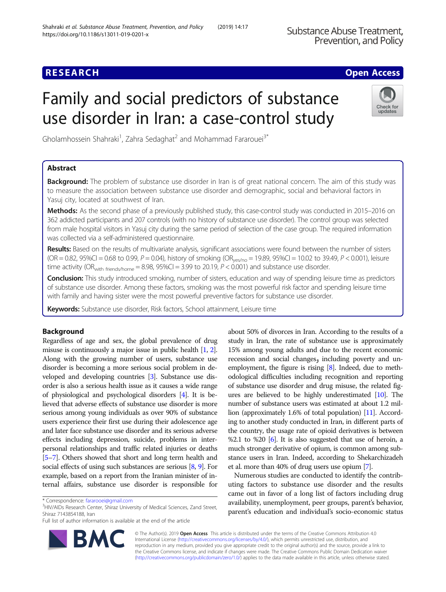## **RESEARCH CHE Open Access**

# Family and social predictors of substance use disorder in Iran: a case-control study



Gholamhossein Shahraki<sup>1</sup>, Zahra Sedaghat<sup>2</sup> and Mohammad Fararouei<sup>3\*</sup>

### Abstract

Background: The problem of substance use disorder in Iran is of great national concern. The aim of this study was to measure the association between substance use disorder and demographic, social and behavioral factors in Yasuj city, located at southwest of Iran.

Methods: As the second phase of a previously published study, this case-control study was conducted in 2015–2016 on 362 addicted participants and 207 controls (with no history of substance use disorder). The control group was selected from male hospital visitors in Yasuj city during the same period of selection of the case group. The required information was collected via a self-administered questionnaire.

Results: Based on the results of multivariate analysis, significant associations were found between the number of sisters  $(OR = 0.82, 95\% CI = 0.68$  to 0.99,  $P = 0.04$ ), history of smoking  $(OR_{yes/no} = 19.89, 95\% CI = 10.02$  to 39.49,  $P < 0.001$ ), leisure time activity (OR<sub>with friends/home</sub> = 8.98, 95%CI = 3.99 to 20.19,  $P < 0.001$ ) and substance use disorder.

**Conclusion:** This study introduced smoking, number of sisters, education and way of spending leisure time as predictors of substance use disorder. Among these factors, smoking was the most powerful risk factor and spending leisure time with family and having sister were the most powerful preventive factors for substance use disorder.

Keywords: Substance use disorder, Risk factors, School attainment, Leisure time

### Background

Regardless of age and sex, the global prevalence of drug misuse is continuously a major issue in public health [\[1,](#page-6-0) [2](#page-6-0)]. Along with the growing number of users, substance use disorder is becoming a more serious social problem in developed and developing countries [[3](#page-6-0)]. Substance use disorder is also a serious health issue as it causes a wide range of physiological and psychological disorders [\[4](#page-6-0)]. It is believed that adverse effects of substance use disorder is more serious among young individuals as over 90% of substance users experience their first use during their adolescence age and later face substance use disorder and its serious adverse effects including depression, suicide, problems in interpersonal relationships and traffic related injuries or deaths [[5](#page-6-0)–[7\]](#page-6-0). Others showed that short and long term health and social effects of using such substances are serious [\[8,](#page-6-0) [9](#page-6-0)]. For example, based on a report from the Iranian minister of internal affairs, substance use disorder is responsible for

Full list of author information is available at the end of the article



about 50% of divorces in Iran. According to the results of a study in Iran, the rate of substance use is approximately 15% among young adults and due to the recent economic recession and social changes, including poverty and unemployment, the figure is rising [\[8](#page-6-0)]. Indeed, due to methodological difficulties including recognition and reporting of substance use disorder and drug misuse, the related figures are believed to be highly underestimated [\[10\]](#page-6-0). The number of substance users was estimated at about 1.2 million (approximately 1.6% of total population) [[11](#page-6-0)]. According to another study conducted in Iran, in different parts of the country, the usage rate of opioid derivatives is between %2.1 to %20 [\[6](#page-6-0)]. It is also suggested that use of heroin, a much stronger derivative of opium, is common among substance users in Iran. Indeed, according to Shekarchizadeh et al. more than 40% of drug users use opium [\[7\]](#page-6-0).

Numerous studies are conducted to identify the contributing factors to substance use disorder and the results came out in favor of a long list of factors including drug availability, unemployment, peer groups, parent's behavior, parent's education and individual's socio-economic status

© The Author(s). 2019 Open Access This article is distributed under the terms of the Creative Commons Attribution 4.0 International License [\(http://creativecommons.org/licenses/by/4.0/](http://creativecommons.org/licenses/by/4.0/)), which permits unrestricted use, distribution, and reproduction in any medium, provided you give appropriate credit to the original author(s) and the source, provide a link to the Creative Commons license, and indicate if changes were made. The Creative Commons Public Domain Dedication waiver [\(http://creativecommons.org/publicdomain/zero/1.0/](http://creativecommons.org/publicdomain/zero/1.0/)) applies to the data made available in this article, unless otherwise stated.

<sup>\*</sup> Correspondence: [fararooei@gmail.com](mailto:fararooei@gmail.com) <sup>3</sup>

<sup>&</sup>lt;sup>3</sup>HIV/AIDs Research Center, Shiraz University of Medical Sciences, Zand Street, Shiraz 7143854188, Iran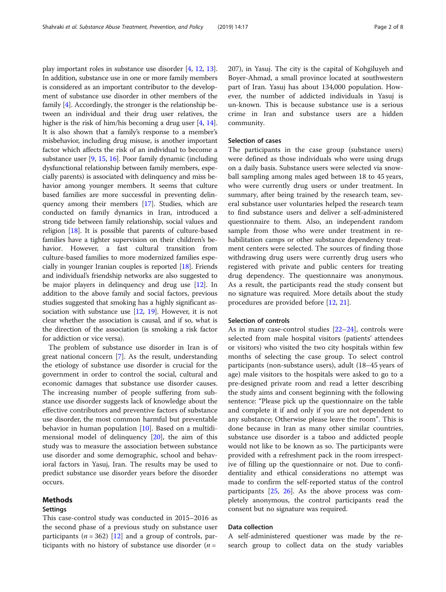play important roles in substance use disorder [[4](#page-6-0), [12](#page-6-0), [13](#page-6-0)]. In addition, substance use in one or more family members is considered as an important contributor to the development of substance use disorder in other members of the family [[4\]](#page-6-0). Accordingly, the stronger is the relationship between an individual and their drug user relatives, the higher is the risk of him/his becoming a drug user [[4,](#page-6-0) [14](#page-6-0)]. It is also shown that a family's response to a member's misbehavior, including drug misuse, is another important factor which affects the risk of an individual to become a substance user [\[9](#page-6-0), [15,](#page-6-0) [16\]](#page-6-0). Poor family dynamic (including dysfunctional relationship between family members, especially parents) is associated with delinquency and miss behavior among younger members. It seems that culture based families are more successful in preventing delinquency among their members [[17](#page-6-0)]. Studies, which are conducted on family dynamics in Iran, introduced a strong tide between family relationship, social values and religion [\[18\]](#page-6-0). It is possible that parents of culture-based families have a tighter supervision on their children's behavior. However, a fast cultural transition from culture-based families to more modernized families especially in younger Iranian couples is reported [[18](#page-6-0)]. Friends and individual's friendship networks are also suggested to be major players in delinquency and drug use [\[12\]](#page-6-0). In addition to the above family and social factors, previous studies suggested that smoking has a highly significant association with substance use [\[12,](#page-6-0) [19\]](#page-6-0). However, it is not clear whether the association is causal, and if so, what is the direction of the association (is smoking a risk factor for addiction or vice versa).

The problem of substance use disorder in Iran is of great national concern [\[7](#page-6-0)]. As the result, understanding the etiology of substance use disorder is crucial for the government in order to control the social, cultural and economic damages that substance use disorder causes. The increasing number of people suffering from substance use disorder suggests lack of knowledge about the effective contributors and preventive factors of substance use disorder, the most common harmful but preventable behavior in human population [[10](#page-6-0)]. Based on a multidimensional model of delinquency [\[20](#page-6-0)], the aim of this study was to measure the association between substance use disorder and some demographic, school and behavioral factors in Yasuj, Iran. The results may be used to predict substance use disorder years before the disorder occurs.

#### Methods

#### Settings

This case-control study was conducted in 2015–2016 as the second phase of a previous study on substance user participants ( $n = 362$ ) [\[12](#page-6-0)] and a group of controls, participants with no history of substance use disorder ( $n =$ 

207), in Yasuj. The city is the capital of Kohgiluyeh and Boyer-Ahmad, a small province located at southwestern part of Iran. Yasuj has about 134,000 population. However, the number of addicted individuals in Yasuj is un-known. This is because substance use is a serious crime in Iran and substance users are a hidden community.

#### Selection of cases

The participants in the case group (substance users) were defined as those individuals who were using drugs on a daily basis. Substance users were selected via snowball sampling among males aged between 18 to 45 years, who were currently drug users or under treatment. In summary, after being trained by the research team, several substance user voluntaries helped the research team to find substance users and deliver a self-administered questionnaire to them. Also, an independent random sample from those who were under treatment in rehabilitation camps or other substance dependency treatment centers were selected. The sources of finding those withdrawing drug users were currently drug users who registered with private and public centers for treating drug dependency. The questionnaire was anonymous. As a result, the participants read the study consent but no signature was required. More details about the study procedures are provided before [[12,](#page-6-0) [21\]](#page-6-0).

#### Selection of controls

As in many case-control studies [\[22](#page-7-0)–[24\]](#page-7-0), controls were selected from male hospital visitors (patients' attendees or visitors) who visited the two city hospitals within few months of selecting the case group. To select control participants (non-substance users), adult (18–45 years of age) male visitors to the hospitals were asked to go to a pre-designed private room and read a letter describing the study aims and consent beginning with the following sentence: "Please pick up the questionnaire on the table and complete it if and only if you are not dependent to any substance; Otherwise please leave the room". This is done because in Iran as many other similar countries, substance use disorder is a taboo and addicted people would not like to be known as so. The participants were provided with a refreshment pack in the room irrespective of filling up the questionnaire or not. Due to confidentiality and ethical considerations no attempt was made to confirm the self-reported status of the control participants [\[25,](#page-7-0) [26](#page-7-0)]. As the above process was completely anonymous, the control participants read the consent but no signature was required.

#### Data collection

A self-administered questioner was made by the research group to collect data on the study variables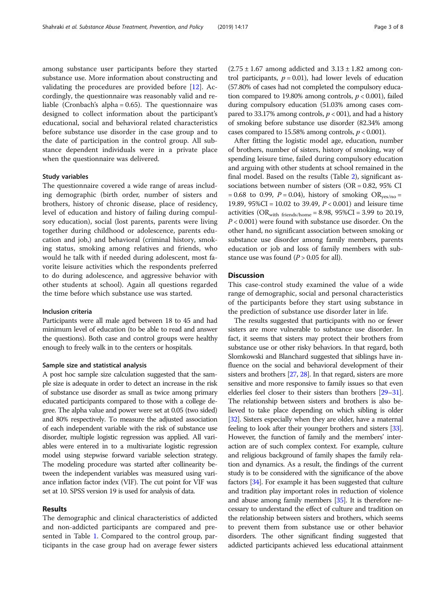among substance user participants before they started substance use. More information about constructing and validating the procedures are provided before [\[12](#page-6-0)]. Accordingly, the questionnaire was reasonably valid and reliable (Cronbach's alpha = 0.65). The questionnaire was designed to collect information about the participant's educational, social and behavioral related characteristics before substance use disorder in the case group and to the date of participation in the control group. All substance dependent individuals were in a private place when the questionnaire was delivered.

#### Study variables

The questionnaire covered a wide range of areas including demographic (birth order, number of sisters and brothers, history of chronic disease, place of residency, level of education and history of failing during compulsory education), social (lost parents, parents were living together during childhood or adolescence, parents education and job,) and behavioral (criminal history, smoking status, smoking among relatives and friends, who would he talk with if needed during adolescent, most favorite leisure activities which the respondents preferred to do during adolescence, and aggressive behavior with other students at school). Again all questions regarded the time before which substance use was started.

#### Inclusion criteria

Participants were all male aged between 18 to 45 and had minimum level of education (to be able to read and answer the questions). Both case and control groups were healthy enough to freely walk in to the centers or hospitals.

#### Sample size and statistical analysis

A post hoc sample size calculation suggested that the sample size is adequate in order to detect an increase in the risk of substance use disorder as small as twice among primary educated participants compared to those with a college degree. The alpha value and power were set at 0.05 (two sided) and 80% respectively. To measure the adjusted association of each independent variable with the risk of substance use disorder, multiple logistic regression was applied. All variables were entered in to a multivariate logistic regression model using stepwise forward variable selection strategy. The modeling procedure was started after collinearity between the independent variables was measured using variance inflation factor index (VIF). The cut point for VIF was set at 10. SPSS version 19 is used for analysis of data.

#### Results

The demographic and clinical characteristics of addicted and non-addicted participants are compared and presented in Table [1](#page-3-0). Compared to the control group, participants in the case group had on average fewer sisters

 $(2.75 \pm 1.67)$  among addicted and  $3.13 \pm 1.82$  among control participants,  $p = 0.01$ ), had lower levels of education (57.80% of cases had not completed the compulsory education compared to 19.80% among controls,  $p < 0.001$ ), failed during compulsory education (51.03% among cases compared to 33.17% among controls,  $p < 001$ ), and had a history of smoking before substance use disorder (82.34% among cases compared to 15.58% among controls,  $p < 0.001$ ).

After fitting the logistic model age, education, number of brothers, number of sisters, history of smoking, way of spending leisure time, failed during compulsory education and arguing with other students at school remained in the final model. Based on the results (Table [2](#page-4-0)), significant associations between number of sisters (OR = 0.82, 95% CI = 0.68 to 0.99,  $P = 0.04$ ), history of smoking OR<sub>yes/no</sub> = 19.89, 95%CI = 10.02 to 39.49, P < 0.001) and leisure time activities  $(OR_{with\ friends/bome} = 8.98, 95\%CI = 3.99 \text{ to } 20.19,$  $P < 0.001$ ) were found with substance use disorder. On the other hand, no significant association between smoking or substance use disorder among family members, parents education or job and loss of family members with substance use was found  $(P > 0.05$  for all).

#### **Discussion**

This case-control study examined the value of a wide range of demographic, social and personal characteristics of the participants before they start using substance in the prediction of substance use disorder later in life.

The results suggested that participants with no or fewer sisters are more vulnerable to substance use disorder. In fact, it seems that sisters may protect their brothers from substance use or other risky behaviors. In that regard, both Slomkowski and Blanchard suggested that siblings have influence on the social and behavioral development of their sisters and brothers [\[27](#page-7-0), [28](#page-7-0)]. In that regard, sisters are more sensitive and more responsive to family issues so that even elderlies feel closer to their sisters than brothers [\[29](#page-7-0)–[31](#page-7-0)]. The relationship between sisters and brothers is also believed to take place depending on which sibling is older [[32](#page-7-0)]. Sisters especially when they are older, have a maternal feeling to look after their younger brothers and sisters [\[33](#page-7-0)]. However, the function of family and the members' interaction are of such complex context. For example, culture and religious background of family shapes the family relation and dynamics. As a result, the findings of the current study is to be considered with the significance of the above factors [[34](#page-7-0)]. For example it has been suggested that culture and tradition play important roles in reduction of violence and abuse among family members [\[35\]](#page-7-0). It is therefore necessary to understand the effect of culture and tradition on the relationship between sisters and brothers, which seems to prevent them from substance use or other behavior disorders. The other significant finding suggested that addicted participants achieved less educational attainment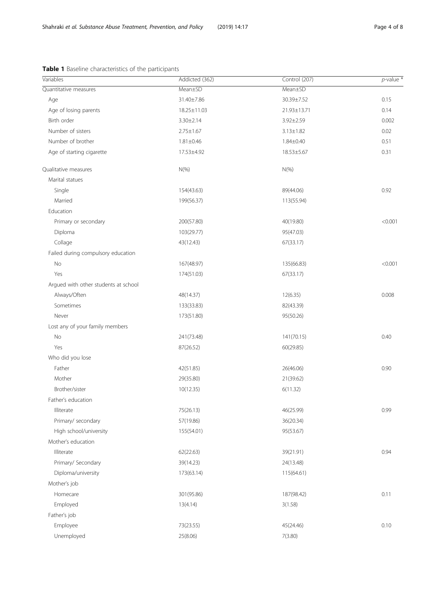| Variables                            | Addicted (362)  | Control (207)   | $p$ -value $\prime$ |
|--------------------------------------|-----------------|-----------------|---------------------|
| Quantitative measures                | Mean±SD         | Mean±SD         |                     |
| Age                                  | 31.40±7.86      | 30.39±7.52      | 0.15                |
| Age of losing parents                | 18.25±11.03     | 21.93±13.71     | 0.14                |
| Birth order                          | $3.30 \pm 2.14$ | 3.92±2.59       | 0.002               |
| Number of sisters                    | $2.75 \pm 1.67$ | $3.13 \pm 1.82$ | 0.02                |
| Number of brother                    | $1.81 \pm 0.46$ | $1.84 \pm 0.40$ | 0.51                |
| Age of starting cigarette            | 17.53±4.92      | 18.53±5.67      | 0.31                |
| Qualitative measures                 | $N(\%)$         | $N(\%)$         |                     |
| Marital statues                      |                 |                 |                     |
| Single                               | 154(43.63)      | 89(44.06)       | 0.92                |
| Married                              | 199(56.37)      | 113(55.94)      |                     |
| Education                            |                 |                 |                     |
| Primary or secondary                 | 200(57.80)      | 40(19.80)       | < 0.001             |
| Diploma                              | 103(29.77)      | 95(47.03)       |                     |
| Collage                              | 43(12.43)       | 67(33.17)       |                     |
| Failed during compulsory education   |                 |                 |                     |
| No                                   | 167(48.97)      | 135(66.83)      | < 0.001             |
| Yes                                  | 174(51.03)      | 67(33.17)       |                     |
| Argued with other students at school |                 |                 |                     |
| Always/Often                         | 48(14.37)       | 12(6.35)        | 0.008               |
| Sometimes                            | 133(33.83)      | 82(43.39)       |                     |
| Never                                | 173(51.80)      | 95(50.26)       |                     |
| Lost any of your family members      |                 |                 |                     |
| No                                   | 241(73.48)      | 141(70.15)      | 0.40                |
| Yes                                  | 87(26.52)       | 60(29.85)       |                     |
| Who did you lose                     |                 |                 |                     |
| Father                               | 42(51.85)       | 26(46.06)       | 0.90                |
| Mother                               | 29(35.80)       | 21(39.62)       |                     |
| Brother/sister                       | 10(12.35)       | 6(11.32)        |                     |
| Father's education                   |                 |                 |                     |
| Illiterate                           | 75(26.13)       | 46(25.99)       | 0.99                |
| Primary/ secondary                   | 57(19.86)       | 36(20.34)       |                     |
| High school/university               | 155(54.01)      | 95(53.67)       |                     |
| Mother's education                   |                 |                 |                     |
| Illiterate                           | 62(22.63)       | 39(21.91)       | 0.94                |
| Primary/ Secondary                   | 39(14.23)       | 24(13.48)       |                     |
| Diploma/university                   | 173(63.14)      | 115(64.61)      |                     |
| Mother's job                         |                 |                 |                     |
| Homecare                             | 301(95.86)      | 187(98.42)      | 0.11                |
| Employed                             | 13(4.14)        | 3(1.58)         |                     |
| Father's job                         |                 |                 |                     |
| Employee                             | 73(23.55)       | 45(24.46)       | 0.10                |
| Unemployed                           | 25(8.06)        | 7(3.80)         |                     |

#### <span id="page-3-0"></span>Table 1 Baseline characteristics of the participants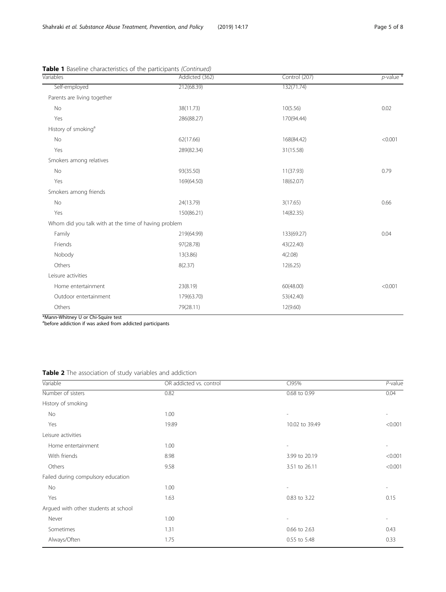| Variables                                              | Addicted (362) | Control (207) | $p$ -value $*$ |
|--------------------------------------------------------|----------------|---------------|----------------|
| Self-employed                                          | 212(68.39)     | 132(71.74)    |                |
| Parents are living together                            |                |               |                |
| No                                                     | 38(11.73)      | 10(5.56)      | 0.02           |
| Yes                                                    | 286(88.27)     | 170(94.44)    |                |
| History of smoking <sup>a</sup>                        |                |               |                |
| No                                                     | 62(17.66)      | 168(84.42)    | < 0.001        |
| Yes                                                    | 289(82.34)     | 31(15.58)     |                |
| Smokers among relatives                                |                |               |                |
| No                                                     | 93(35.50)      | 11(37.93)     | 0.79           |
| Yes                                                    | 169(64.50)     | 18(62.07)     |                |
| Smokers among friends                                  |                |               |                |
| No                                                     | 24(13.79)      | 3(17.65)      | 0.66           |
| Yes                                                    | 150(86.21)     | 14(82.35)     |                |
| Whom did you talk with at the time of having problem   |                |               |                |
| Family                                                 | 219(64.99)     | 133(69.27)    | 0.04           |
| Friends                                                | 97(28.78)      | 43(22.40)     |                |
| Nobody                                                 | 13(3.86)       | 4(2.08)       |                |
| Others                                                 | 8(2.37)        | 12(6.25)      |                |
| Leisure activities                                     |                |               |                |
| Home entertainment                                     | 23(8.19)       | 60(48.00)     | < 0.001        |
| Outdoor entertainment                                  | 179(63.70)     | 53(42.40)     |                |
| Others                                                 | 79(28.11)      | 12(9.60)      |                |
| فعجه ودنيات تباتر والبحرية المتحافظ والقارية والمحافظة |                |               |                |

<span id="page-4-0"></span>Table 1 Baseline characteristics of the participants (Continued)

\*Mann-Whitney U or Chi-Squire test a before addiction if was asked from addicted participants

#### Table 2 The association of study variables and addiction

| Variable                             | OR addicted vs. control | CI95%          | $P$ -value               |
|--------------------------------------|-------------------------|----------------|--------------------------|
| Number of sisters                    | 0.82                    | 0.68 to 0.99   | 0.04                     |
| History of smoking                   |                         |                |                          |
| No                                   | 1.00                    | $\overline{a}$ | $\overline{\phantom{0}}$ |
| Yes                                  | 19.89                   | 10.02 to 39.49 | < 0.001                  |
| Leisure activities                   |                         |                |                          |
| Home entertainment                   | 1.00                    |                |                          |
| With friends                         | 8.98                    | 3.99 to 20.19  | < 0.001                  |
| Others                               | 9.58                    | 3.51 to 26.11  | < 0.001                  |
| Failed during compulsory education   |                         |                |                          |
| No                                   | 1.00                    | -              |                          |
| Yes                                  | 1.63                    | 0.83 to 3.22   | 0.15                     |
| Argued with other students at school |                         |                |                          |
| Never                                | 1.00                    | -              |                          |
| Sometimes                            | 1.31                    | 0.66 to 2.63   | 0.43                     |
| Always/Often                         | 1.75                    | 0.55 to 5.48   | 0.33                     |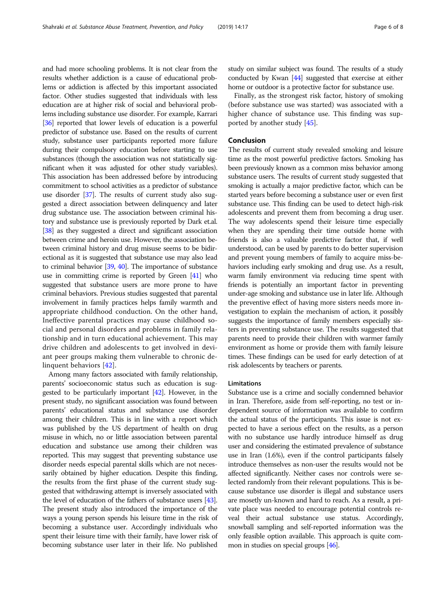and had more schooling problems. It is not clear from the results whether addiction is a cause of educational problems or addiction is affected by this important associated factor. Other studies suggested that individuals with less education are at higher risk of social and behavioral problems including substance use disorder. For example, Karrari [[36](#page-7-0)] reported that lower levels of education is a powerful predictor of substance use. Based on the results of current study, substance user participants reported more failure during their compulsory education before starting to use substances (though the association was not statistically significant when it was adjusted for other study variables). This association has been addressed before by introducing commitment to school activities as a predictor of substance use disorder [\[37](#page-7-0)]. The results of current study also suggested a direct association between delinquency and later drug substance use. The association between criminal history and substance use is previously reported by Dark et.al. [[38](#page-7-0)] as they suggested a direct and significant association between crime and heroin use. However, the association between criminal history and drug misuse seems to be bidirectional as it is suggested that substance use may also lead to criminal behavior [[39](#page-7-0), [40\]](#page-7-0). The importance of substance use in committing crime is reported by Green [[41](#page-7-0)] who suggested that substance users are more prone to have criminal behaviors. Previous studies suggested that parental involvement in family practices helps family warmth and appropriate childhood conduction. On the other hand, Ineffective parental practices may cause childhood social and personal disorders and problems in family relationship and in turn educational achievement. This may drive children and adolescents to get involved in deviant peer groups making them vulnerable to chronic delinquent behaviors [[42](#page-7-0)].

Among many factors associated with family relationship, parents' socioeconomic status such as education is suggested to be particularly important [\[42\]](#page-7-0). However, in the present study, no significant association was found between parents' educational status and substance use disorder among their children. This is in line with a report which was published by the US department of health on drug misuse in which, no or little association between parental education and substance use among their children was reported. This may suggest that preventing substance use disorder needs especial parental skills which are not necessarily obtained by higher education. Despite this finding, the results from the first phase of the current study suggested that withdrawing attempt is inversely associated with the level of education of the fathers of substance users [\[43](#page-7-0)]. The present study also introduced the importance of the ways a young person spends his leisure time in the risk of becoming a substance user. Accordingly individuals who spent their leisure time with their family, have lower risk of becoming substance user later in their life. No published study on similar subject was found. The results of a study conducted by Kwan [\[44\]](#page-7-0) suggested that exercise at either home or outdoor is a protective factor for substance use.

Finally, as the strongest risk factor, history of smoking (before substance use was started) was associated with a higher chance of substance use. This finding was supported by another study [\[45](#page-7-0)].

#### Conclusion

The results of current study revealed smoking and leisure time as the most powerful predictive factors. Smoking has been previously known as a common miss behavior among substance users. The results of current study suggested that smoking is actually a major predictive factor, which can be started years before becoming a substance user or even first substance use. This finding can be used to detect high-risk adolescents and prevent them from becoming a drug user. The way adolescents spend their leisure time especially when they are spending their time outside home with friends is also a valuable predictive factor that, if well understood, can be used by parents to do better supervision and prevent young members of family to acquire miss-behaviors including early smoking and drug use. As a result, warm family environment via reducing time spent with friends is potentially an important factor in preventing under-age smoking and substance use in later life. Although the preventive effect of having more sisters needs more investigation to explain the mechanism of action, it possibly suggests the importance of family members especially sisters in preventing substance use. The results suggested that parents need to provide their children with warmer family environment as home or provide them with family leisure times. These findings can be used for early detection of at risk adolescents by teachers or parents.

#### Limitations

Substance use is a crime and socially condemned behavior in Iran. Therefore, aside from self-reporting, no test or independent source of information was available to confirm the actual status of the participants. This issue is not expected to have a serious effect on the results, as a person with no substance use hardly introduce himself as drug user and considering the estimated prevalence of substance use in Iran (1.6%), even if the control participants falsely introduce themselves as non-user the results would not be affected significantly. Neither cases nor controls were selected randomly from their relevant populations. This is because substance use disorder is illegal and substance users are mosetly un-known and hard to reach. As a result, a private place was needed to encourage potential controls reveal their actual substance use status. Accordingly, snowball sampling and self-reported information was the only feasible option available. This approach is quite common in studies on special groups [\[46\]](#page-7-0).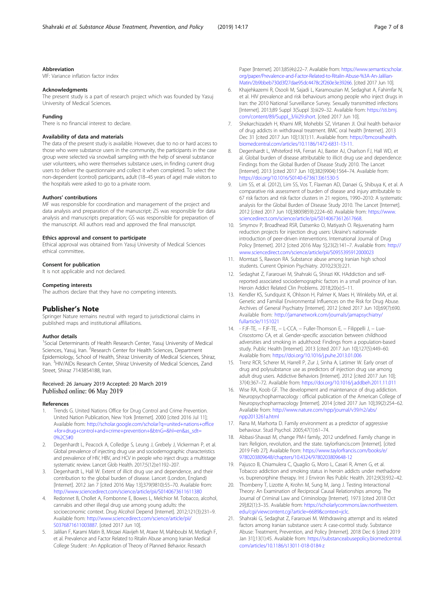#### <span id="page-6-0"></span>Abbreviation

VIF: Variance inflation factor index

#### Acknowledgments

The present study is a part of research project which was founded by Yasuj University of Medical Sciences.

#### Funding

There is no financial interest to declare.

#### Availability of data and materials

The data of the present study is available. However, due to no or hard access to those who were substance users in the community, the participants in the case group were selected via snowball sampling with the help of several substance user volunteers, who were themselves substance users, in finding current drug users to deliver the questionnaire and collect it when completed. To select the non-dependent (control) participants, adult (18–45 years of age) male visitors to the hospitals were asked to go to a private room.

#### Authors' contributions

MF was responsible for coordination and management of the project and data analysis and preparation of the manuscript; ZS was responsible for data analysis and manuscripts preparation; GS was responsible for preparation of the manuscript. All authors read and approved the final manuscript.

#### Ethics approval and consent to participate

Ethical approval was obtained from Yasuj University of Medical Sciences ethical committee.

#### Consent for publication

It is not applicable and not declared.

#### Competing interests

The authors declare that they have no competing interests.

#### Publisher's Note

Springer Nature remains neutral with regard to jurisdictional claims in published maps and institutional affiliations.

#### Author details

<sup>1</sup>Social Determinants of Health Research Center, Yasuj University of Medical Sciences, Yasuj, Iran. <sup>2</sup>Research Center for Health Sciences, Department Epidemiology, School of Health, Shiraz University of Medical Sciences, Shiraz, Iran. <sup>3</sup>HIV/AIDs Research Center, Shiraz University of Medical Sciences, Zand Street, Shiraz 7143854188, Iran.

#### Received: 26 January 2019 Accepted: 20 March 2019 Published online: 06 May 2019

#### References

- 1. Trends G. United Nations Office for Drug Control and Crime Prevention. United Nation Publication, New York [Internet]. 2000 [cited 2016 Jul 11]; Available from: [http://scholar.google.com/scholar?q=united+nations+office](http://scholar.google.com/scholar?q=united+nations+office+for+drug+control+and+crime+prevention+&btnG=&hl=en&as_sdt=0%2C5#0) [+for+drug+control+and+crime+prevention+&btnG=&hl=en&as\\_sdt=](http://scholar.google.com/scholar?q=united+nations+office+for+drug+control+and+crime+prevention+&btnG=&hl=en&as_sdt=0%2C5#0) [0%2C5#0](http://scholar.google.com/scholar?q=united+nations+office+for+drug+control+and+crime+prevention+&btnG=&hl=en&as_sdt=0%2C5#0)
- 2. Degenhardt L, Peacock A, Colledge S, Leung J, Grebely J, Vickerman P, et al. Global prevalence of injecting drug use and sociodemographic characteristics and prevalence of HIV, HBV, and HCV in people who inject drugs: a multistage systematic review. Lancet Glob Health. 2017;5(12):e1192–207.
- 3. Degenhardt L, Hall W. Extent of illicit drug use and dependence, and their contribution to the global burden of disease. Lancet (London, England) [Internet]. 2012 Jan 7 [cited 2016 May 13];379(9810):55–70. Available from: <http://www.sciencedirect.com/science/article/pii/S0140673611611380>
- 4. Redonnet B, Chollet A, Fombonne E, Bowes L, Melchior M. Tobacco, alcohol, cannabis and other illegal drug use among young adults: the socioeconomic context. Drug Alcohol Depend [Internet]. 2012;121(3):231–9. Available from: [http://www.sciencedirect.com/science/article/pii/](http://www.sciencedirect.com/science/article/pii/S0376871611003887) [S0376871611003887.](http://www.sciencedirect.com/science/article/pii/S0376871611003887) [cited 2017 Jun 10].
- 5. Jalilian F, Karami Matin B, Mirzaei Alavijeh M, Ataee M, Mahboubi M, Motlagh F, et al. Prevalence and Factor Related to Ritalin Abuse among Iranian Medical College Student : An Application of Theory of Planned Behavior. Research

Paper [Internet]. 2013;85(4s):22-7. Available from: [https://www.semanticscholar.](https://www.semanticscholar.org/paper/Prevalence-and-Factor-Related-to-Ritalin-Abuse-%3A-An-Jalilian-Matin/2b9bbeb730d3f27dae95dc4478c2f260e3e39266) [org/paper/Prevalence-and-Factor-Related-to-Ritalin-Abuse-%3A-An-Jalilian-](https://www.semanticscholar.org/paper/Prevalence-and-Factor-Related-to-Ritalin-Abuse-%3A-An-Jalilian-Matin/2b9bbeb730d3f27dae95dc4478c2f260e3e39266)[Matin/2b9bbeb730d3f27dae95dc4478c2f260e3e39266.](https://www.semanticscholar.org/paper/Prevalence-and-Factor-Related-to-Ritalin-Abuse-%3A-An-Jalilian-Matin/2b9bbeb730d3f27dae95dc4478c2f260e3e39266) [cited 2017 Jun 10].

- 6. Khajehkazemi R, Osooli M, Sajadi L, Karamouzian M, Sedaghat A, Fahimfar N, et al. HIV prevalence and risk behaviours among people who inject drugs in Iran: the 2010 National Surveillance Survey. Sexually transmitted infections [Internet]. 2013;89 Suppl 3(Suppl 3):iii29–32. Available from: [https://sti.bmj.](https://sti.bmj.com/content/89/Suppl_3/iii29.short) [com/content/89/Suppl\\_3/iii29.short](https://sti.bmj.com/content/89/Suppl_3/iii29.short). [cited 2017 Jun 10].
- 7. Shekarchizadeh H, Khami MR, Mohebbi SZ, Virtanen JI. Oral health behavior of drug addicts in withdrawal treatment. BMC oral health [Internet]. 2013 Dec 31 [cited 2017 Jun 10];13(1):11. Available from: [https://bmcoralhealth.](https://bmcoralhealth.biomedcentral.com/articles/10.1186/1472-6831-13-11) [biomedcentral.com/articles/10.1186/1472-6831-13-11.](https://bmcoralhealth.biomedcentral.com/articles/10.1186/1472-6831-13-11)
- 8. Degenhardt L, Whiteford HA, Ferrari AJ, Baxter AJ, Charlson FJ, Hall WD, et al. Global burden of disease attributable to illicit drug use and dependence: Findings from the Global Burden of Disease Study 2010. The Lancet [Internet]. 2013 [cited 2017 Jun 10];382(9904):1564–74. Available from: [https://doi.org/10.1016/S0140-6736\(13\)61530-5](https://doi.org/10.1016/S0140-6736(13)61530-5)
- Lim SS, et al. (2012), Lim SS, Vos T, Flaxman AD, Danaei G, Shibuya K, et al. A comparative risk assessment of burden of disease and injury attributable to 67 risk factors and risk factor clusters in 21 regions, 1990–2010: A systematic analysis for the Global Burden of Disease Study 2010. The Lancet [Internet]. 2012 [cited 2017 Jun 10];380(9859):2224–60. Available from: [https://www.](https://www.sciencedirect.com/science/article/pii/S0140673612617668) [sciencedirect.com/science/article/pii/S0140673612617668.](https://www.sciencedirect.com/science/article/pii/S0140673612617668)
- 10. Smyrnov P, Broadhead RSR, Datsenko O, Matiyash O. Rejuvenating harm reduction projects for injection drug users: Ukraine's nationwide introduction of peer-driven interventions. International Journal of Drug Policy [Internet]. 2012 [cited 2016 May 5];23(2):141–7. Available from: [http://](http://www.sciencedirect.com/science/article/pii/S0955395912000023) [www.sciencedirect.com/science/article/pii/S0955395912000023](http://www.sciencedirect.com/science/article/pii/S0955395912000023)
- 11. Momtazi S, Rawson RA. Substance abuse among Iranian high school students. Current Opinion Psychiatry. 2010;23(3):221.
- 12. Sedaghat Z, Fararouei M, Shahraki G, Shirazi KK. HAddiction and selfreported associated sociodemographic factors in a small province of Iran. Heroin Addict Related Clin Problems. 2018;20(x):5–11.
- 13. Kendler KS, Sundquist K, Ohlsson H, Palmer K, Maes H, Winkleby MA, et al. Genetic and Familial Environmental Influences on the Risk for Drug Abuse. Archives of General Psychiatry [Internet]. 2012 [cited 2017 Jun 10];69(7):690. Available from: [http://jamanetwork.com/journals/jamapsychiatry/](http://jamanetwork.com/journals/jamapsychiatry/fullarticle/1151021) [fullarticle/1151021](http://jamanetwork.com/journals/jamapsychiatry/fullarticle/1151021)
- 14. FJF-TE, − FJF-TE, − L-CCA, − Fuller-Thomson E, − Filippelli J, − Lue-Crisostomo CA, et al. Gender-specific association between childhood adversities and smoking in adulthood: Findings from a population-based study. Public Health [Internet]. 2013 [cited 2017 Jun 10];127(5):449–60. Available from: <https://doi.org/10.1016/j.puhe.2013.01.006>
- 15. Trenz RCR, Scherer M, Harrell P, Zur J, Sinha A, Latimer W. Early onset of drug and polysubstance use as predictors of injection drug use among adult drug users. Addictive Behaviors [Internet]. 2012 [cited 2017 Jun 10]; 37(4):367–72. Available from: <https://doi.org/10.1016/j.addbeh.2011.11.011>
- 16. Wise RA, Koob GF. The development and maintenance of drug addiction. Neuropsychopharmacology : official publication of the American College of Neuropsychopharmacology [Internet]. 2014 [cited 2017 Jun 10];39(2):254–62. Available from: [http://www.nature.com/npp/journal/v39/n2/abs/](http://www.nature.com/npp/journal/v39/n2/abs/npp2013261a.html) [npp2013261a.html](http://www.nature.com/npp/journal/v39/n2/abs/npp2013261a.html)
- 17. Rana M, Marhorta D. Family environment as a predictor of aggressive behaviour. Stud Psychol. 2005;47(1):61–74.
- 18. Abbasi-Shavazi M, change PM-I family, 2012 undefined. Family change in Iran: Religion, revolution, and the state. taylorfrancis.com [Internet]. [cited 2019 Feb 27]; Available from: [https://www.taylorfrancis.com/books/e/](https://www.taylorfrancis.com/books/e/9780203809648/chapters/10.4324/9780203809648-12) [9780203809648/chapters/10.4324/9780203809648-12](https://www.taylorfrancis.com/books/e/9780203809648/chapters/10.4324/9780203809648-12)
- 19. Pajusco B, Chiamulera C, Quaglio G, Moro L, Casari R, Amen G, et al. Tobacco addiction and smoking status in heroin addicts under methadone vs. buprenorphine therapy. Int J Environ Res Public Health. 2012;9(3):932–42.
- 20. Thornberry T, Lizotte A, Krohn M, Sung M, Jang J. Testing Interactional Theory: An Examination of Reciprocal Causal Relationships among. The Journal of Criminal Law and Criminology [Internet]. 1973 [cited 2018 Oct 29];82(1):3–35. Available from: [https://scholarlycommons.law.northwestern.](https://scholarlycommons.law.northwestern.edu/cgi/viewcontent.cgi?article=6689&context=jclc) [edu/cgi/viewcontent.cgi?article=6689&context=jclc](https://scholarlycommons.law.northwestern.edu/cgi/viewcontent.cgi?article=6689&context=jclc).
- 21. Shahraki G, Sedaghat Z, Fararouei M. Withdrawing attempt and its related factors among Iranian substance users: A case-control study. Substance Abuse: Treatment, Prevention, and Policy [Internet]. 2018 Dec 6 [cited 2019 Jan 31];13(1):45. Available from: [https://substanceabusepolicy.biomedcentral.](https://substanceabusepolicy.biomedcentral.com/articles/10.1186/s13011-018-0184-z) [com/articles/10.1186/s13011-018-0184-z](https://substanceabusepolicy.biomedcentral.com/articles/10.1186/s13011-018-0184-z)